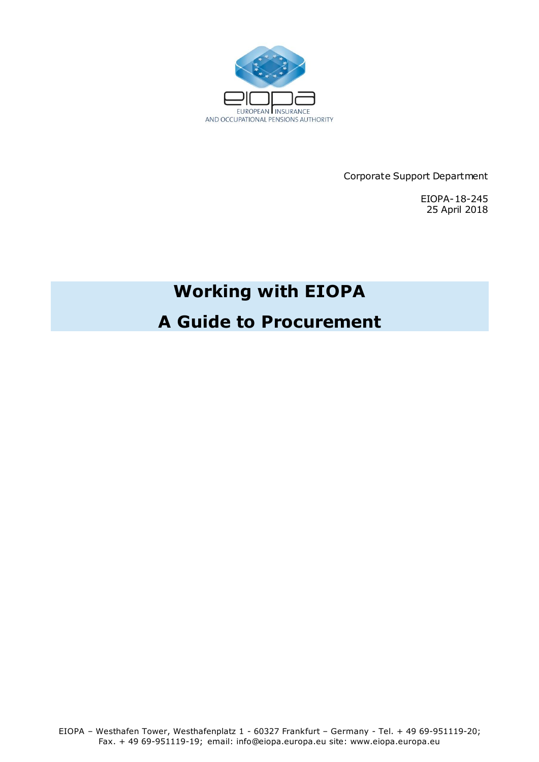

Corporate Support Department

EIOPA-18-245 25 April 2018

# **Working with EIOPA**

# **A Guide to Procurement**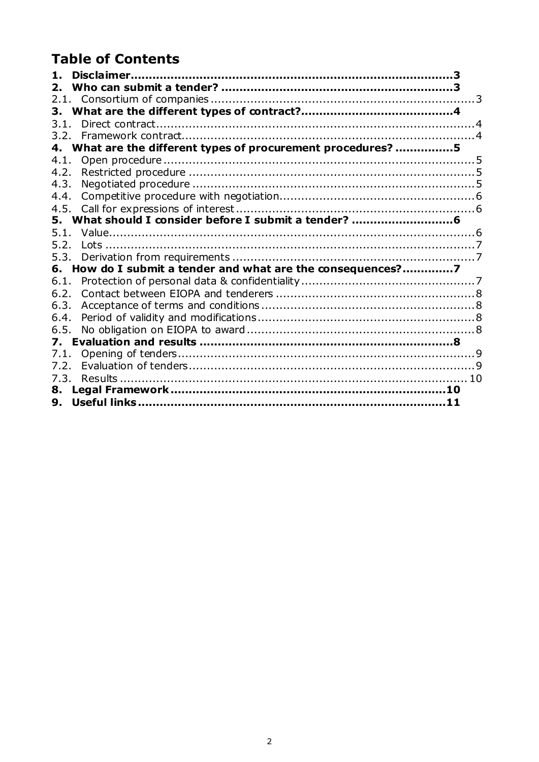# **Table of Contents**

| $\mathbf{1}$ . |                                                           |  |
|----------------|-----------------------------------------------------------|--|
|                |                                                           |  |
|                |                                                           |  |
| 3.             |                                                           |  |
| 3.1.           |                                                           |  |
|                |                                                           |  |
| 4.             | What are the different types of procurement procedures? 5 |  |
| 4.1.           |                                                           |  |
| 4.2.           |                                                           |  |
| 4.3.           |                                                           |  |
| 4.4.           |                                                           |  |
| 4.5.           |                                                           |  |
| 5.             | What should I consider before I submit a tender?          |  |
| 5.1.           |                                                           |  |
| 5.2.           |                                                           |  |
| 5.3.           |                                                           |  |
| 6.             | How do I submit a tender and what are the consequences?7  |  |
| 6.1.           |                                                           |  |
| 6.2.           |                                                           |  |
| 6.3.           |                                                           |  |
| 6.4.           |                                                           |  |
| 6.5.           |                                                           |  |
| 7.             |                                                           |  |
| 7.1.           |                                                           |  |
| 7.2.           |                                                           |  |
| 7.3.           |                                                           |  |
| 8.             |                                                           |  |
| 9.             |                                                           |  |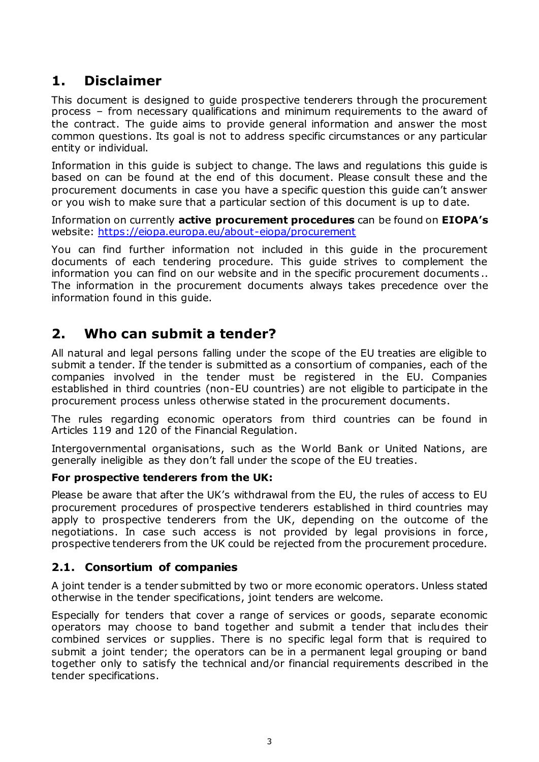# <span id="page-2-0"></span>**1. Disclaimer**

This document is designed to guide prospective tenderers through the procurement process – from necessary qualifications and minimum requirements to the award of the contract. The guide aims to provide general information and answer the most common questions. Its goal is not to address specific circumstances or any particular entity or individual.

Information in this guide is subject to change. The laws and regulations this guide is based on can be found at the end of this document. Please consult these and the procurement documents in case you have a specific question this guide can't answer or you wish to make sure that a particular section of this document is up to date.

Information on currently **active procurement procedures** can be found on **EIOPA's** website:<https://eiopa.europa.eu/about-eiopa/procurement>

You can find further information not included in this guide in the procurement documents of each tendering procedure. This guide strives to complement the information you can find on our website and in the specific procurement documents .. The information in the procurement documents always takes precedence over the information found in this guide.

# <span id="page-2-1"></span>**2. Who can submit a tender?**

All natural and legal persons falling under the scope of the EU treaties are eligible to submit a tender. If the tender is submitted as a consortium of companies, each of the companies involved in the tender must be registered in the EU. Companies established in third countries (non-EU countries) are not eligible to participate in the procurement process unless otherwise stated in the procurement documents.

The rules regarding economic operators from third countries can be found in Articles 119 and 120 of the Financial Regulation.

Intergovernmental organisations, such as the World Bank or United Nations, are generally ineligible as they don't fall under the scope of the EU treaties.

#### **For prospective tenderers from the UK:**

Please be aware that after the UK's withdrawal from the EU, the rules of access to EU procurement procedures of prospective tenderers established in third countries may apply to prospective tenderers from the UK, depending on the outcome of the negotiations. In case such access is not provided by legal provisions in force, prospective tenderers from the UK could be rejected from the procurement procedure.

## <span id="page-2-2"></span>**2.1. Consortium of companies**

A joint tender is a tender submitted by two or more economic operators. Unless stated otherwise in the tender specifications, joint tenders are welcome.

Especially for tenders that cover a range of services or goods, separate economic operators may choose to band together and submit a tender that includes their combined services or supplies. There is no specific legal form that is required to submit a joint tender; the operators can be in a permanent legal grouping or band together only to satisfy the technical and/or financial requirements described in the tender specifications.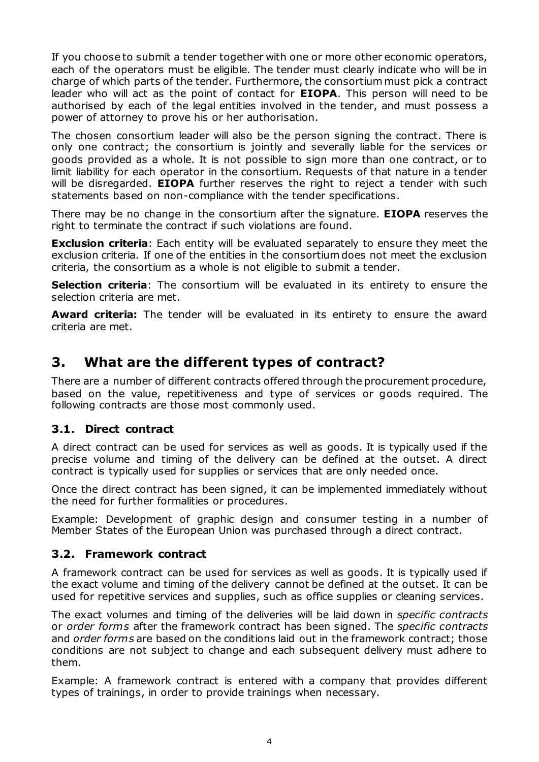If you choose to submit a tender together with one or more other economic operators, each of the operators must be eligible. The tender must clearly indicate who will be in charge of which parts of the tender. Furthermore, the consortium must pick a contract leader who will act as the point of contact for **EIOPA**. This person will need to be authorised by each of the legal entities involved in the tender, and must possess a power of attorney to prove his or her authorisation.

The chosen consortium leader will also be the person signing the contract. There is only one contract; the consortium is jointly and severally liable for the services or goods provided as a whole. It is not possible to sign more than one contract, or to limit liability for each operator in the consortium. Requests of that nature in a tender will be disregarded. **EIOPA** further reserves the right to reject a tender with such statements based on non-compliance with the tender specifications.

There may be no change in the consortium after the signature. **EIOPA** reserves the right to terminate the contract if such violations are found.

**Exclusion criteria**: Each entity will be evaluated separately to ensure they meet the exclusion criteria. If one of the entities in the consortium does not meet the exclusion criteria, the consortium as a whole is not eligible to submit a tender.

**Selection criteria**: The consortium will be evaluated in its entirety to ensure the selection criteria are met.

**Award criteria:** The tender will be evaluated in its entirety to ensure the award criteria are met.

# <span id="page-3-0"></span>**3. What are the different types of contract?**

There are a number of different contracts offered through the procurement procedure, based on the value, repetitiveness and type of services or goods required. The following contracts are those most commonly used.

## <span id="page-3-1"></span>**3.1. Direct contract**

A direct contract can be used for services as well as goods. It is typically used if the precise volume and timing of the delivery can be defined at the outset. A direct contract is typically used for supplies or services that are only needed once.

Once the direct contract has been signed, it can be implemented immediately without the need for further formalities or procedures.

Example: Development of graphic design and consumer testing in a number of Member States of the European Union was purchased through a direct contract.

## <span id="page-3-2"></span>**3.2. Framework contract**

A framework contract can be used for services as well as goods. It is typically used if the exact volume and timing of the delivery cannot be defined at the outset. It can be used for repetitive services and supplies, such as office supplies or cleaning services.

The exact volumes and timing of the deliveries will be laid down in *specific contracts* or *order forms* after the framework contract has been signed. The *specific contracts* and *order forms* are based on the conditions laid out in the framework contract; those conditions are not subject to change and each subsequent delivery must adhere to them.

Example: A framework contract is entered with a company that provides different types of trainings, in order to provide trainings when necessary.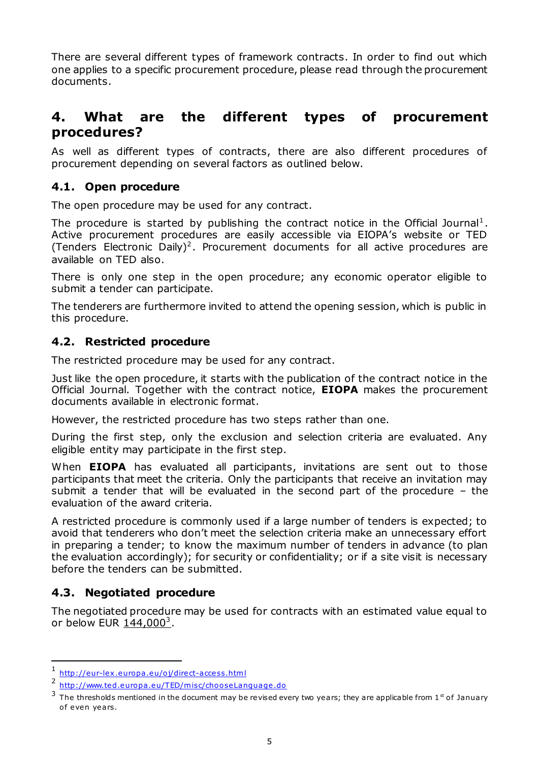There are several different types of framework contracts. In order to find out which one applies to a specific procurement procedure, please read through the procurement documents.

# <span id="page-4-0"></span>**4. What are the different types of procurement procedures?**

As well as different types of contracts, there are also different procedures of procurement depending on several factors as outlined below.

## <span id="page-4-1"></span>**4.1. Open procedure**

The open procedure may be used for any contract.

The procedure is started by publishing the contract notice in the Official Journal<sup>1</sup>. Active procurement procedures are easily accessible via EIOPA's website or TED (Tenders Electronic Daily)<sup>2</sup>. Procurement documents for all active procedures are available on TED also.

There is only one step in the open procedure; any economic operator eligible to submit a tender can participate.

The tenderers are furthermore invited to attend the opening session, which is public in this procedure.

## <span id="page-4-2"></span>**4.2. Restricted procedure**

The restricted procedure may be used for any contract.

Just like the open procedure, it starts with the publication of the contract notice in the Official Journal. Together with the contract notice, **EIOPA** makes the procurement documents available in electronic format.

However, the restricted procedure has two steps rather than one.

During the first step, only the exclusion and selection criteria are evaluated. Any eligible entity may participate in the first step.

When **EIOPA** has evaluated all participants, invitations are sent out to those participants that meet the criteria. Only the participants that receive an invitation may submit a tender that will be evaluated in the second part of the procedure – the evaluation of the award criteria.

A restricted procedure is commonly used if a large number of tenders is expected; to avoid that tenderers who don't meet the selection criteria make an unnecessary effort in preparing a tender; to know the maximum number of tenders in advance (to plan the evaluation accordingly); for security or confidentiality; or if a site visit is necessary before the tenders can be submitted.

## <span id="page-4-3"></span>**4.3. Negotiated procedure**

-

The negotiated procedure may be used for contracts with an estimated value equal to or below EUR <u>144,000<sup>3</sup></u>.

<sup>1</sup> [http://eur-lex .europa .eu/o j/direct-access.h](http://eur-lex.europa.eu/oj/direct-access.html)tml

<sup>2</sup> [http://www.ted.europa .eu/TED/misc/chooseLanguage](http://www.ted.europa.eu/TED/misc/chooseLanguage.do) .do

 $3$  The thresholds mentioned in the document may be revised every two years; they are applicable from 1<sup>st</sup> of January of even years.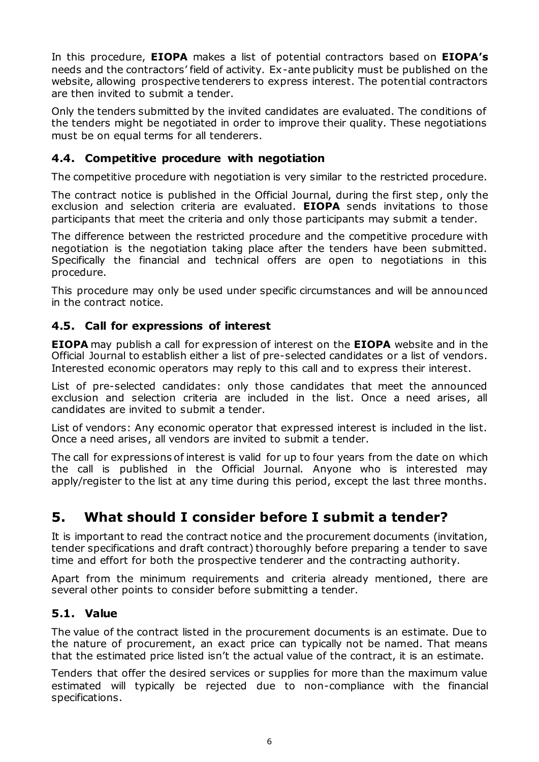In this procedure, **EIOPA** makes a list of potential contractors based on **EIOPA's** needs and the contractors' field of activity. Ex-ante publicity must be published on the website, allowing prospective tenderers to express interest. The potential contractors are then invited to submit a tender.

Only the tenders submitted by the invited candidates are evaluated. The conditions of the tenders might be negotiated in order to improve their quality. These negotiations must be on equal terms for all tenderers.

# <span id="page-5-0"></span>**4.4. Competitive procedure with negotiation**

The competitive procedure with negotiation is very similar to the restricted procedure.

The contract notice is published in the Official Journal, during the first step, only the exclusion and selection criteria are evaluated. **EIOPA** sends invitations to those participants that meet the criteria and only those participants may submit a tender.

The difference between the restricted procedure and the competitive procedure with negotiation is the negotiation taking place after the tenders have been submitted. Specifically the financial and technical offers are open to negotiations in this procedure.

This procedure may only be used under specific circumstances and will be announced in the contract notice.

## <span id="page-5-1"></span>**4.5. Call for expressions of interest**

**EIOPA** may publish a call for expression of interest on the **EIOPA** website and in the Official Journal to establish either a list of pre-selected candidates or a list of vendors. Interested economic operators may reply to this call and to express their interest.

List of pre-selected candidates: only those candidates that meet the announced exclusion and selection criteria are included in the list. Once a need arises, all candidates are invited to submit a tender.

List of vendors: Any economic operator that expressed interest is included in the list. Once a need arises, all vendors are invited to submit a tender.

The call for expressions of interest is valid for up to four years from the date on which the call is published in the Official Journal. Anyone who is interested may apply/register to the list at any time during this period, except the last three months.

# <span id="page-5-2"></span>**5. What should I consider before I submit a tender?**

It is important to read the contract notice and the procurement documents (invitation, tender specifications and draft contract) thoroughly before preparing a tender to save time and effort for both the prospective tenderer and the contracting authority.

Apart from the minimum requirements and criteria already mentioned, there are several other points to consider before submitting a tender.

#### <span id="page-5-3"></span>**5.1. Value**

The value of the contract listed in the procurement documents is an estimate. Due to the nature of procurement, an exact price can typically not be named. That means that the estimated price listed isn't the actual value of the contract, it is an estimate.

Tenders that offer the desired services or supplies for more than the maximum value estimated will typically be rejected due to non-compliance with the financial specifications.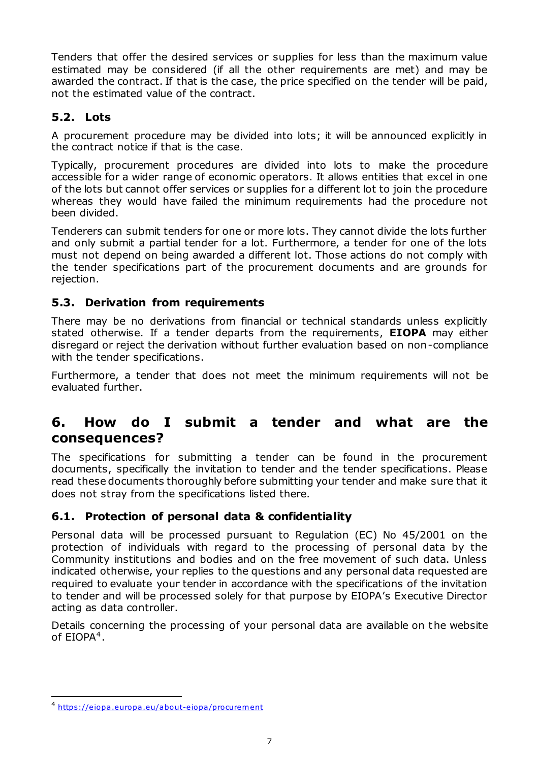Tenders that offer the desired services or supplies for less than the maximum value estimated may be considered (if all the other requirements are met) and may be awarded the contract. If that is the case, the price specified on the tender will be paid, not the estimated value of the contract.

# <span id="page-6-0"></span>**5.2. Lots**

A procurement procedure may be divided into lots; it will be announced explicitly in the contract notice if that is the case.

Typically, procurement procedures are divided into lots to make the procedure accessible for a wider range of economic operators. It allows entities that excel in one of the lots but cannot offer services or supplies for a different lot to join the procedure whereas they would have failed the minimum requirements had the procedure not been divided.

Tenderers can submit tenders for one or more lots. They cannot divide the lots further and only submit a partial tender for a lot. Furthermore, a tender for one of the lots must not depend on being awarded a different lot. Those actions do not comply with the tender specifications part of the procurement documents and are grounds for rejection.

# <span id="page-6-1"></span>**5.3. Derivation from requirements**

There may be no derivations from financial or technical standards unless explicitly stated otherwise. If a tender departs from the requirements, **EIOPA** may either disregard or reject the derivation without further evaluation based on non-compliance with the tender specifications.

Furthermore, a tender that does not meet the minimum requirements will not be evaluated further.

# <span id="page-6-2"></span>**6. How do I submit a tender and what are the consequences?**

The specifications for submitting a tender can be found in the procurement documents, specifically the invitation to tender and the tender specifications. Please read these documents thoroughly before submitting your tender and make sure that it does not stray from the specifications listed there.

# <span id="page-6-3"></span>**6.1. Protection of personal data & confidentiality**

Personal data will be processed pursuant to Regulation (EC) No 45/2001 on the protection of individuals with regard to the processing of personal data by the Community institutions and bodies and on the free movement of such data. Unless indicated otherwise, your replies to the questions and any personal data requested are required to evaluate your tender in accordance with the specifications of the invitation to tender and will be processed solely for that purpose by EIOPA's Executive Director acting as data controller.

Details concerning the processing of your personal data are available on the website of  $EIOPA<sup>4</sup>$ .

-

<sup>4</sup> https://eiopa .europa .eu/about-eiopa/procurem ent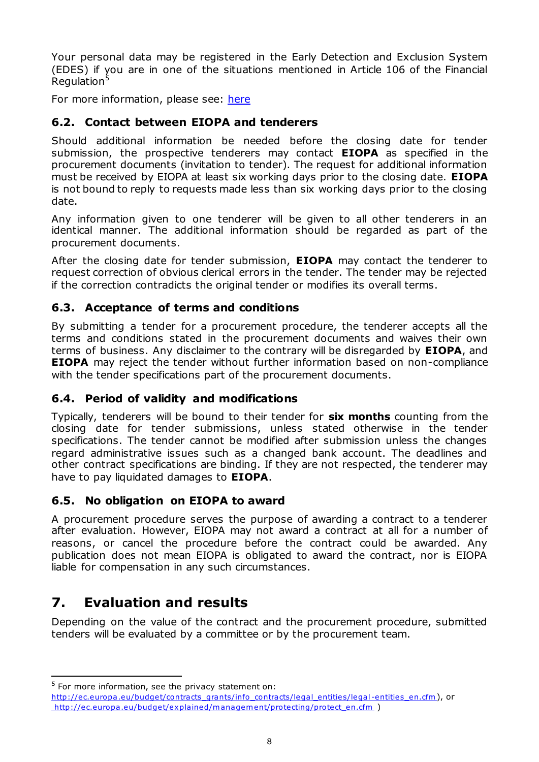Your personal data may be registered in the Early Detection and Exclusion System (EDES) if you are in one of the situations mentioned in Article 106 of the Financial Regulation<sup>5</sup>

For more information, please see[: here](https://eiopa.europa.eu/Publications/Administrative/Privacy%20Statement_Procurement.pdf)

# <span id="page-7-0"></span>**6.2. Contact between EIOPA and tenderers**

Should additional information be needed before the closing date for tender submission, the prospective tenderers may contact **EIOPA** as specified in the procurement documents (invitation to tender). The request for additional information must be received by EIOPA at least six working days prior to the closing date. **EIOPA** is not bound to reply to requests made less than six working days prior to the closing date.

Any information given to one tenderer will be given to all other tenderers in an identical manner. The additional information should be regarded as part of the procurement documents.

After the closing date for tender submission, **EIOPA** may contact the tenderer to request correction of obvious clerical errors in the tender. The tender may be rejected if the correction contradicts the original tender or modifies its overall terms.

## <span id="page-7-1"></span>**6.3. Acceptance of terms and conditions**

By submitting a tender for a procurement procedure, the tenderer accepts all the terms and conditions stated in the procurement documents and waives their own terms of business. Any disclaimer to the contrary will be disregarded by **EIOPA**, and **EIOPA** may reject the tender without further information based on non-compliance with the tender specifications part of the procurement documents.

## <span id="page-7-2"></span>**6.4. Period of validity and modifications**

Typically, tenderers will be bound to their tender for **six months** counting from the closing date for tender submissions, unless stated otherwise in the tender specifications. The tender cannot be modified after submission unless the changes regard administrative issues such as a changed bank account. The deadlines and other contract specifications are binding. If they are not respected, the tenderer may have to pay liquidated damages to **EIOPA**.

## <span id="page-7-3"></span>**6.5. No obligation on EIOPA to award**

A procurement procedure serves the purpose of awarding a contract to a tenderer after evaluation. However, EIOPA may not award a contract at all for a number of reasons, or cancel the procedure before the contract could be awarded. Any publication does not mean EIOPA is obligated to award the contract, nor is EIOPA liable for compensation in any such circumstances.

# <span id="page-7-4"></span>**7. Evaluation and results**

-

Depending on the value of the contract and the procurement procedure, submitted tenders will be evaluated by a committee or by the procurement team.

 $5$  For more information, see the privacy statement on:

http://ec.europa.eu/budget/contracts\_grants/info\_contracts/legal\_entities/legal -entities\_en.cfm), or http://ec.europa.eu/budget/explained/management/protecting/protect\_en.cfm )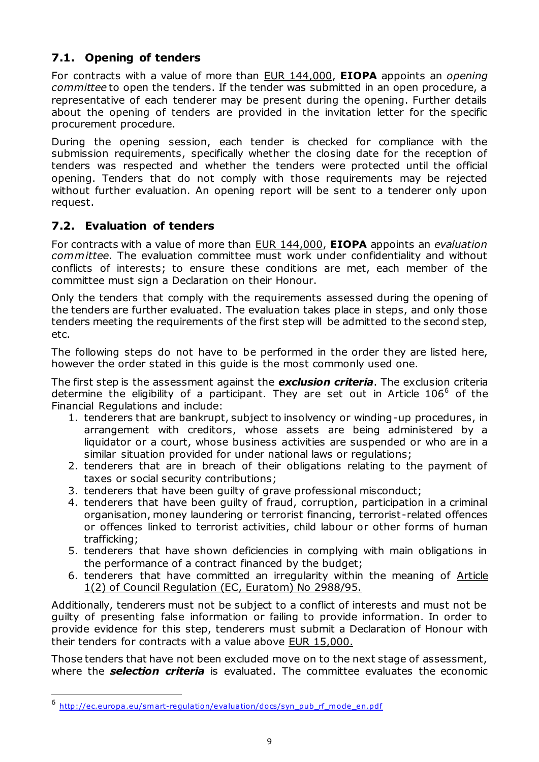# <span id="page-8-0"></span>**7.1. Opening of tenders**

For contracts with a value of more than EUR 144,000, **EIOPA** appoints an *opening committee* to open the tenders. If the tender was submitted in an open procedure, a representative of each tenderer may be present during the opening. Further details about the opening of tenders are provided in the invitation letter for the specific procurement procedure.

During the opening session, each tender is checked for compliance with the submission requirements, specifically whether the closing date for the reception of tenders was respected and whether the tenders were protected until the official opening. Tenders that do not comply with those requirements may be rejected without further evaluation. An opening report will be sent to a tenderer only upon request.

# <span id="page-8-1"></span>**7.2. Evaluation of tenders**

For contracts with a value of more than EUR 144,000, **EIOPA** appoints an *evaluation committee*. The evaluation committee must work under confidentiality and without conflicts of interests; to ensure these conditions are met, each member of the committee must sign a Declaration on their Honour.

Only the tenders that comply with the requirements assessed during the opening of the tenders are further evaluated. The evaluation takes place in steps, and only those tenders meeting the requirements of the first step will be admitted to the second step, etc.

The following steps do not have to be performed in the order they are listed here, however the order stated in this guide is the most commonly used one.

The first step is the assessment against the *exclusion criteria*. The exclusion criteria determine the eligibility of a participant. They are set out in Article  $106<sup>6</sup>$  of the Financial Regulations and include:

- 1. tenderers that are bankrupt, subject to insolvency or winding-up procedures, in arrangement with creditors, whose assets are being administered by a liquidator or a court, whose business activities are suspended or who are in a similar situation provided for under national laws or regulations;
- 2. tenderers that are in breach of their obligations relating to the payment of taxes or social security contributions;
- 3. tenderers that have been guilty of grave professional misconduct;
- 4. tenderers that have been guilty of fraud, corruption, participation in a criminal organisation, money laundering or terrorist financing, terrorist-related offences or offences linked to terrorist activities, child labour or other forms of human trafficking;
- 5. tenderers that have shown deficiencies in complying with main obligations in the performance of a contract financed by the budget;
- 6. tenderers that have committed an irregularity within the meaning of Article 1(2) of Council Regulation (EC, Euratom) No 2988/95.

Additionally, tenderers must not be subject to a conflict of interests and must not be guilty of presenting false information or failing to provide information. In order to provide evidence for this step, tenderers must submit a Declaration of Honour with their tenders for contracts with a value above EUR 15,000.

Those tenders that have not been excluded move on to the next stage of assessment, where the **selection criteria** is evaluated. The committee evaluates the economic

-

<sup>6</sup> http://ec.europa.eu/smart-regulation/evaluation/docs/syn\_pub\_rf\_mode\_en.pdf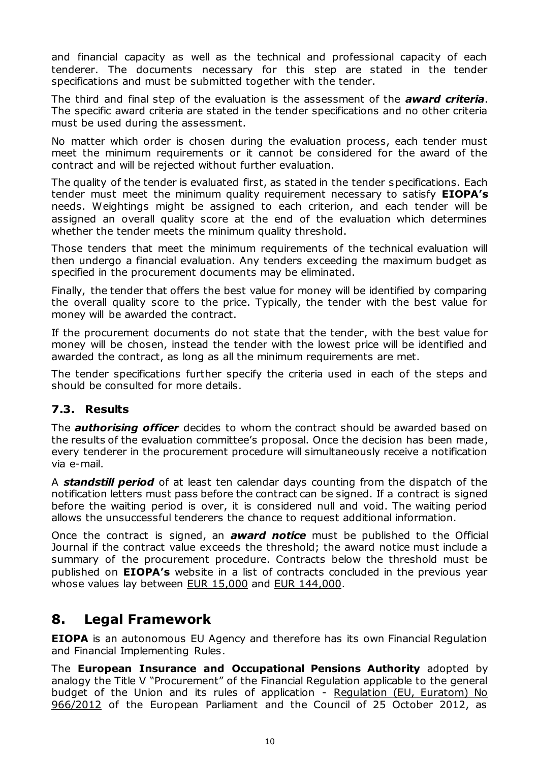and financial capacity as well as the technical and professional capacity of each tenderer. The documents necessary for this step are stated in the tender specifications and must be submitted together with the tender.

The third and final step of the evaluation is the assessment of the *award criteria*. The specific award criteria are stated in the tender specifications and no other criteria must be used during the assessment.

No matter which order is chosen during the evaluation process, each tender must meet the minimum requirements or it cannot be considered for the award of the contract and will be rejected without further evaluation.

The quality of the tender is evaluated first, as stated in the tender specifications. Each tender must meet the minimum quality requirement necessary to satisfy **EIOPA's** needs. Weightings might be assigned to each criterion, and each tender will be assigned an overall quality score at the end of the evaluation which determines whether the tender meets the minimum quality threshold.

Those tenders that meet the minimum requirements of the technical evaluation will then undergo a financial evaluation. Any tenders exceeding the maximum budget as specified in the procurement documents may be eliminated.

Finally, the tender that offers the best value for money will be identified by comparing the overall quality score to the price. Typically, the tender with the best value for money will be awarded the contract.

If the procurement documents do not state that the tender, with the best value for money will be chosen, instead the tender with the lowest price will be identified and awarded the contract, as long as all the minimum requirements are met.

The tender specifications further specify the criteria used in each of the steps and should be consulted for more details.

## <span id="page-9-0"></span>**7.3. Results**

The *authorising officer* decides to whom the contract should be awarded based on the results of the evaluation committee's proposal. Once the decision has been made, every tenderer in the procurement procedure will simultaneously receive a notification via e-mail.

A *standstill period* of at least ten calendar days counting from the dispatch of the notification letters must pass before the contract can be signed. If a contract is signed before the waiting period is over, it is considered null and void. The waiting period allows the unsuccessful tenderers the chance to request additional information.

Once the contract is signed, an *award notice* must be published to the Official Journal if the contract value exceeds the threshold; the award notice must include a summary of the procurement procedure. Contracts below the threshold must be published on **EIOPA's** website in a list of contracts concluded in the previous year whose values lay between EUR 15,000 and EUR 144,000.

# <span id="page-9-1"></span>**8. Legal Framework**

**EIOPA** is an autonomous EU Agency and therefore has its own Financial Regulation and Financial Implementing Rules.

The **European Insurance and Occupational Pensions Authority** adopted by analogy the Title V "Procurement" of the Financial Regulation applicable to the general budget of the Union and its rules of application - Regulation (EU, Euratom) No 966/2012 of the European Parliament and the Council of 25 October 2012, as